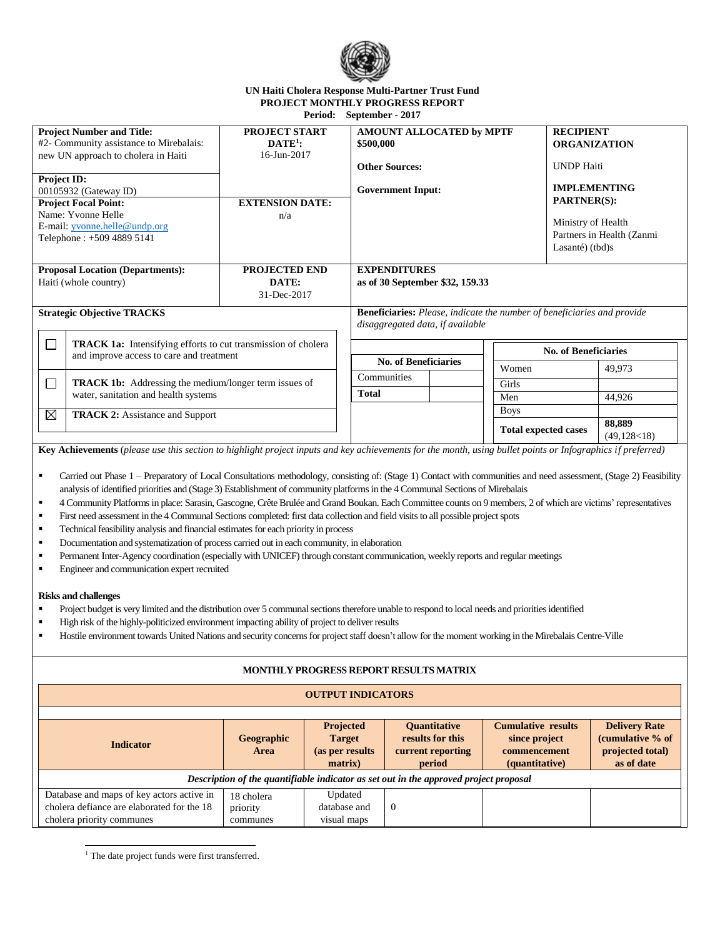

#### **UN Haiti Cholera Response Multi-Partner Trust Fund PROJECT MONTHLY PROGRESS REPORT Period: September - 2017**

| <b>Project Number and Title:</b>                                                                                           | <b>PROJECT START</b>   | AMOUNT ALLOCATED by MPTF                                                       |  | <b>RECIPIENT</b>            |                    |                           |  |
|----------------------------------------------------------------------------------------------------------------------------|------------------------|--------------------------------------------------------------------------------|--|-----------------------------|--------------------|---------------------------|--|
| #2- Community assistance to Mirebalais:                                                                                    | $DATE1$ :              | \$500,000                                                                      |  | <b>ORGANIZATION</b>         |                    |                           |  |
| new UN approach to cholera in Haiti                                                                                        | 16-Jun-2017            |                                                                                |  |                             |                    |                           |  |
|                                                                                                                            |                        | <b>Other Sources:</b>                                                          |  |                             | <b>UNDP</b> Haiti  |                           |  |
| Project ID:                                                                                                                |                        |                                                                                |  |                             |                    |                           |  |
| 00105932 (Gateway ID)                                                                                                      |                        | <b>Government Input:</b>                                                       |  | <b>IMPLEMENTING</b>         |                    |                           |  |
| <b>Project Focal Point:</b>                                                                                                | <b>EXTENSION DATE:</b> |                                                                                |  |                             | <b>PARTNER(S):</b> |                           |  |
| Name: Yvonne Helle                                                                                                         | n/a                    |                                                                                |  |                             |                    |                           |  |
| E-mail: yvonne.helle@undp.org                                                                                              |                        |                                                                                |  |                             | Ministry of Health |                           |  |
| Telephone: +509 4889 5141                                                                                                  |                        |                                                                                |  |                             |                    | Partners in Health (Zanmi |  |
|                                                                                                                            |                        |                                                                                |  |                             | Lasanté) $(tbd)s$  |                           |  |
| <b>Proposal Location (Departments):</b>                                                                                    | <b>PROJECTED END</b>   | <b>EXPENDITURES</b>                                                            |  |                             |                    |                           |  |
|                                                                                                                            |                        |                                                                                |  |                             |                    |                           |  |
| Haiti (whole country)                                                                                                      | DATE:                  | as of 30 September \$32, 159.33                                                |  |                             |                    |                           |  |
|                                                                                                                            | 31-Dec-2017            |                                                                                |  |                             |                    |                           |  |
| <b>Strategic Objective TRACKS</b>                                                                                          |                        | <b>Beneficiaries:</b> Please, indicate the number of beneficiaries and provide |  |                             |                    |                           |  |
|                                                                                                                            |                        | disaggregated data, if available                                               |  |                             |                    |                           |  |
|                                                                                                                            |                        |                                                                                |  |                             |                    |                           |  |
| $\Box$<br><b>TRACK 1a:</b> Intensifying efforts to cut transmission of cholera<br>and improve access to care and treatment |                        |                                                                                |  | <b>No. of Beneficiaries</b> |                    |                           |  |
|                                                                                                                            |                        | <b>No. of Beneficiaries</b>                                                    |  | Women                       |                    |                           |  |
|                                                                                                                            |                        | Communities                                                                    |  |                             |                    | 49,973                    |  |
| <b>TRACK 1b:</b> Addressing the medium/longer term issues of<br>$\Box$                                                     |                        |                                                                                |  | Girls                       |                    |                           |  |
| water, sanitation and health systems                                                                                       |                        | Total                                                                          |  | Men                         |                    | 44,926                    |  |
| $\boxtimes$<br><b>TRACK 2:</b> Assistance and Support                                                                      |                        |                                                                                |  | <b>Boys</b>                 |                    |                           |  |
|                                                                                                                            |                        |                                                                                |  |                             |                    | 88,889                    |  |
|                                                                                                                            |                        |                                                                                |  | <b>Total expected cases</b> |                    | (49, 128 < 18)            |  |

**Key Achievements** (*please use this section to highlight project inputs and key achievements for the month, using bullet points or Infographics if preferred)*

- Carried out Phase 1 Preparatory of Local Consultations methodology, consisting of: (Stage 1) Contact with communities and need assessment, (Stage 2) Feasibility analysis of identified priorities and (Stage 3) Establishment of community platformsin the 4 Communal Sections of Mirebalais
- 4 Community Platforms in place: Sarasin, Gascogne, Crête Brulée and Grand Boukan. Each Committee counts on 9 members, 2 of which are victims' representatives
- First need assessment in the 4 Communal Sections completed: first data collection and field visits to all possible project spots
- Technical feasibility analysis and financial estimates for each priority in process
- Documentation and systematization of process carried out in each community, in elaboration
- Permanent Inter-Agency coordination (especially with UNICEF) through constant communication, weekly reports and regular meetings
- **Engineer and communication expert recruited**

### **Risks and challenges**

- **Project budget is very limited and the distribution over 5 communal sections therefore unable to respond to local needs and priorities identified**
- High risk of the highly-politicized environment impacting ability of project to deliver results
- Hostile environment towards United Nations and security concerns for project staff doesn't allow for the moment working in the Mirebalais Centre-Ville

# **MONTHLY PROGRESS REPORT RESULTS MATRIX**

### **OUTPUT INDICATORS**

| <b>Indicator</b>                                                                      |                   | Projected        | <b>Ouantitative</b> | <b>Cumulative results</b> | <b>Delivery Rate</b> |  |
|---------------------------------------------------------------------------------------|-------------------|------------------|---------------------|---------------------------|----------------------|--|
|                                                                                       | <b>Geographic</b> | <b>Target</b>    | results for this    | since project             | (cumulative % of     |  |
|                                                                                       | Area              | (as per results) | current reporting   | commencement              | projected total)     |  |
|                                                                                       |                   | matrix)          | period              | (quantitative)            | as of date           |  |
| Description of the quantifiable indicator as set out in the approved project proposal |                   |                  |                     |                           |                      |  |
| Database and maps of key actors active in                                             | 18 cholera        | Updated          |                     |                           |                      |  |
| cholera defiance are elaborated for the 18                                            | priority          | database and     | $\theta$            |                           |                      |  |
| cholera priority communes                                                             | communes          | visual maps      |                     |                           |                      |  |

j <sup>1</sup> The date project funds were first transferred.